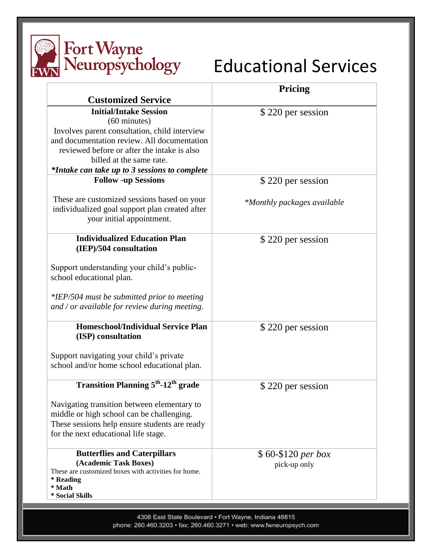

| <b>Customized Service</b>                                                                                                                                                         | Pricing                     |
|-----------------------------------------------------------------------------------------------------------------------------------------------------------------------------------|-----------------------------|
| <b>Initial/Intake Session</b>                                                                                                                                                     | \$220 per session           |
| $(60 \text{ minutes})$                                                                                                                                                            |                             |
| Involves parent consultation, child interview                                                                                                                                     |                             |
| and documentation review. All documentation                                                                                                                                       |                             |
| reviewed before or after the intake is also                                                                                                                                       |                             |
| billed at the same rate.                                                                                                                                                          |                             |
| *Intake can take up to 3 sessions to complete                                                                                                                                     |                             |
| <b>Follow -up Sessions</b>                                                                                                                                                        | \$220 per session           |
| These are customized sessions based on your<br>individualized goal support plan created after<br>your initial appointment.                                                        | *Monthly packages available |
| <b>Individualized Education Plan</b>                                                                                                                                              | \$220 per session           |
| (IEP)/504 consultation                                                                                                                                                            |                             |
| Support understanding your child's public-<br>school educational plan.<br>*IEP/504 must be submitted prior to meeting<br>and / or available for review during meeting.            |                             |
| <b>Homeschool/Individual Service Plan</b>                                                                                                                                         | \$220 per session           |
| (ISP) consultation                                                                                                                                                                |                             |
| Support navigating your child's private<br>school and/or home school educational plan.                                                                                            |                             |
| <b>Transition Planning 5<sup>th</sup>-12<sup>th</sup> grade</b>                                                                                                                   | \$220 per session           |
| Navigating transition between elementary to<br>middle or high school can be challenging.<br>These sessions help ensure students are ready<br>for the next educational life stage. |                             |
| <b>Butterflies and Caterpillars</b>                                                                                                                                               | $$60-$120 per box$          |
| (Academic Task Boxes)<br>These are customized boxes with activities for home.<br>* Reading                                                                                        | pick-up only                |
| * Math                                                                                                                                                                            |                             |
| * Social Skills                                                                                                                                                                   |                             |

4306 East State Boulevard · Fort Wayne, Indiana 46815 phone: 260.460.3203 · fax: 260.460.3271 · web: www.fwneuropsych.com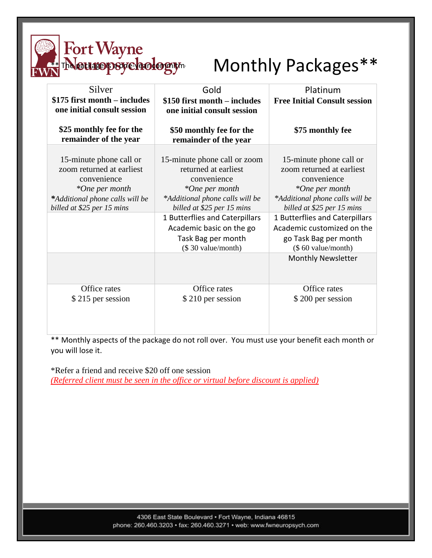

## Monthly Packages\*\*

| Silver<br>\$175 first month – includes<br>one initial consult session                                                                                  | Gold<br>\$150 first month – includes<br>one initial consult session                                                                                                                                                                                              | Platinum<br><b>Free Initial Consult session</b>                                                                                                                                                                                                                                                    |
|--------------------------------------------------------------------------------------------------------------------------------------------------------|------------------------------------------------------------------------------------------------------------------------------------------------------------------------------------------------------------------------------------------------------------------|----------------------------------------------------------------------------------------------------------------------------------------------------------------------------------------------------------------------------------------------------------------------------------------------------|
| \$25 monthly fee for the<br>remainder of the year                                                                                                      | \$50 monthly fee for the<br>remainder of the year                                                                                                                                                                                                                | \$75 monthly fee                                                                                                                                                                                                                                                                                   |
| 15-minute phone call or<br>zoom returned at earliest<br>convenience<br>*One per month<br>*Additional phone calls will be<br>billed at \$25 per 15 mins | 15-minute phone call or zoom<br>returned at earliest<br>convenience<br>*One per month<br>*Additional phone calls will be<br>billed at \$25 per 15 mins<br>1 Butterflies and Caterpillars<br>Academic basic on the go<br>Task Bag per month<br>(\$30 value/month) | 15-minute phone call or<br>zoom returned at earliest<br>convenience<br>*One per month<br>*Additional phone calls will be<br>billed at \$25 per 15 mins<br>1 Butterflies and Caterpillars<br>Academic customized on the<br>go Task Bag per month<br>(\$60 value/month)<br><b>Monthly Newsletter</b> |
| Office rates<br>\$215 per session                                                                                                                      | Office rates<br>\$210 per session                                                                                                                                                                                                                                | Office rates<br>\$200 per session                                                                                                                                                                                                                                                                  |

\*\* Monthly aspects of the package do not roll over. You must use your benefit each month or you will lose it.

\*Refer a friend and receive \$20 off one session *(Referred client must be seen in the office or virtual before discount is applied)*